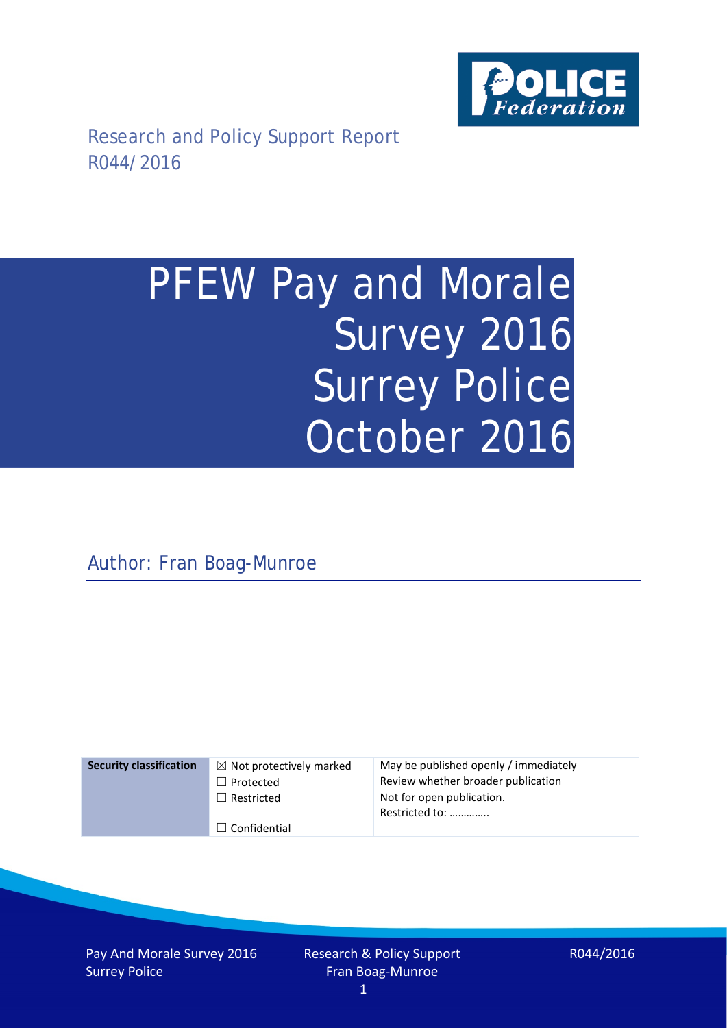

# PFEW Pay and Morale Survey 2016 Surrey Police October 2016

Author: Fran Boag-Munroe

| <b>Security classification</b> | $\boxtimes$ Not protectively marked | May be published openly / immediately       |
|--------------------------------|-------------------------------------|---------------------------------------------|
|                                | $\Box$ Protected                    | Review whether broader publication          |
|                                | $\Box$ Restricted                   | Not for open publication.<br>Restricted to: |
|                                | $\Box$ Confidential                 |                                             |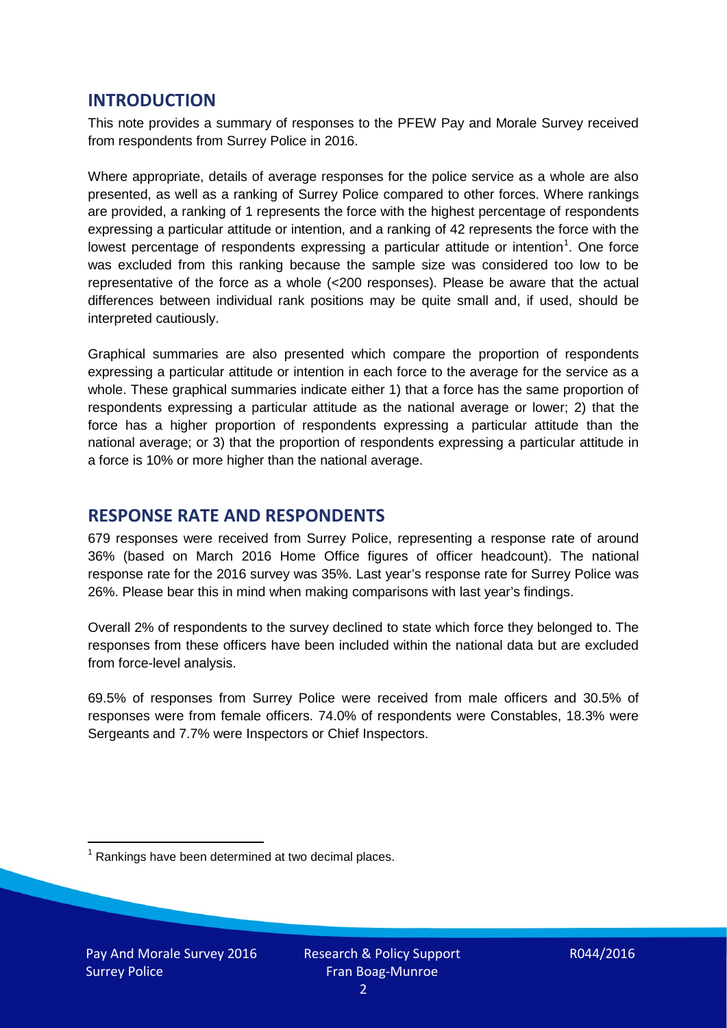## **INTRODUCTION**

This note provides a summary of responses to the PFEW Pay and Morale Survey received from respondents from Surrey Police in 2016.

Where appropriate, details of average responses for the police service as a whole are also presented, as well as a ranking of Surrey Police compared to other forces. Where rankings are provided, a ranking of 1 represents the force with the highest percentage of respondents expressing a particular attitude or intention, and a ranking of 42 represents the force with the lowest percentage of respondents expressing a particular attitude or intention<sup>[1](#page-1-0)</sup>. One force was excluded from this ranking because the sample size was considered too low to be representative of the force as a whole (<200 responses). Please be aware that the actual differences between individual rank positions may be quite small and, if used, should be interpreted cautiously.

Graphical summaries are also presented which compare the proportion of respondents expressing a particular attitude or intention in each force to the average for the service as a whole. These graphical summaries indicate either 1) that a force has the same proportion of respondents expressing a particular attitude as the national average or lower; 2) that the force has a higher proportion of respondents expressing a particular attitude than the national average; or 3) that the proportion of respondents expressing a particular attitude in a force is 10% or more higher than the national average.

## **RESPONSE RATE AND RESPONDENTS**

679 responses were received from Surrey Police, representing a response rate of around 36% (based on March 2016 Home Office figures of officer headcount). The national response rate for the 2016 survey was 35%. Last year's response rate for Surrey Police was 26%. Please bear this in mind when making comparisons with last year's findings.

Overall 2% of respondents to the survey declined to state which force they belonged to. The responses from these officers have been included within the national data but are excluded from force-level analysis.

69.5% of responses from Surrey Police were received from male officers and 30.5% of responses were from female officers. 74.0% of respondents were Constables, 18.3% were Sergeants and 7.7% were Inspectors or Chief Inspectors.

<span id="page-1-0"></span> $1$  Rankings have been determined at two decimal places.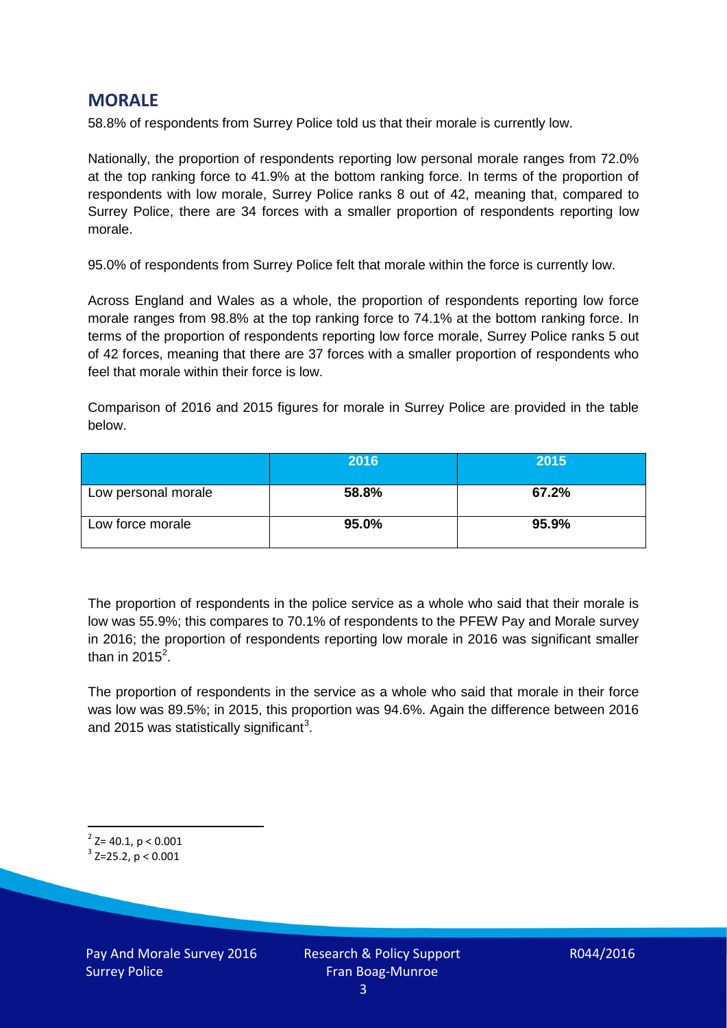## **MORALE**

58.8% of respondents from Surrey Police told us that their morale is currently low.

Nationally, the proportion of respondents reporting low personal morale ranges from 72.0% at the top ranking force to 41.9% at the bottom ranking force. In terms of the proportion of respondents with low morale, Surrey Police ranks 8 out of 42, meaning that, compared to Surrey Police, there are 34 forces with a smaller proportion of respondents reporting low morale.

95.0% of respondents from Surrey Police felt that morale within the force is currently low.

Across England and Wales as a whole, the proportion of respondents reporting low force morale ranges from 98.8% at the top ranking force to 74.1% at the bottom ranking force. In terms of the proportion of respondents reporting low force morale, Surrey Police ranks 5 out of 42 forces, meaning that there are 37 forces with a smaller proportion of respondents who feel that morale within their force is low.

Comparison of 2016 and 2015 figures for morale in Surrey Police are provided in the table below.

|                     | 2016  | 2015  |
|---------------------|-------|-------|
| Low personal morale | 58.8% | 67.2% |
| Low force morale    | 95.0% | 95.9% |

The proportion of respondents in the police service as a whole who said that their morale is low was 55.9%; this compares to 70.1% of respondents to the PFEW Pay and Morale survey in 2016; the proportion of respondents reporting low morale in 2016 was significant smaller than in [2](#page-2-0)015 $^2$ .

The proportion of respondents in the service as a whole who said that morale in their force was low was 89.5%; in 2015, this proportion was 94.6%. Again the difference between 2016 and 2015 was statistically significant<sup>[3](#page-2-1)</sup>.

<span id="page-2-0"></span> $2$ <sup>2</sup> Z= 40.1, p < 0.001

<span id="page-2-1"></span> $3$  Z=25.2, p < 0.001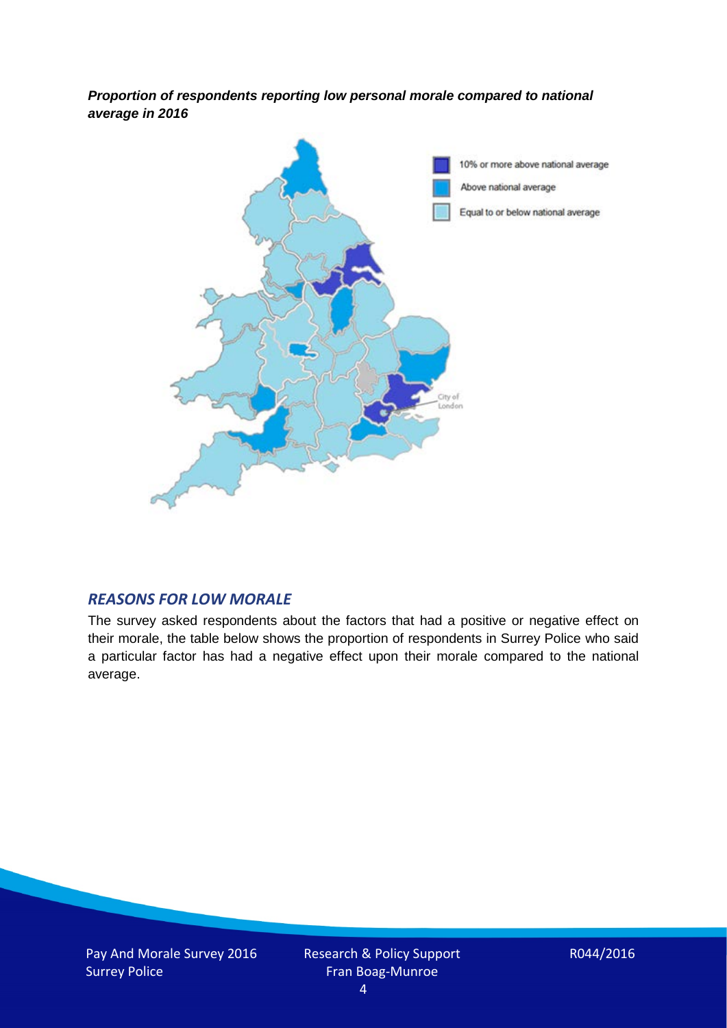*Proportion of respondents reporting low personal morale compared to national average in 2016*



#### *REASONS FOR LOW MORALE*

The survey asked respondents about the factors that had a positive or negative effect on their morale, the table below shows the proportion of respondents in Surrey Police who said a particular factor has had a negative effect upon their morale compared to the national average.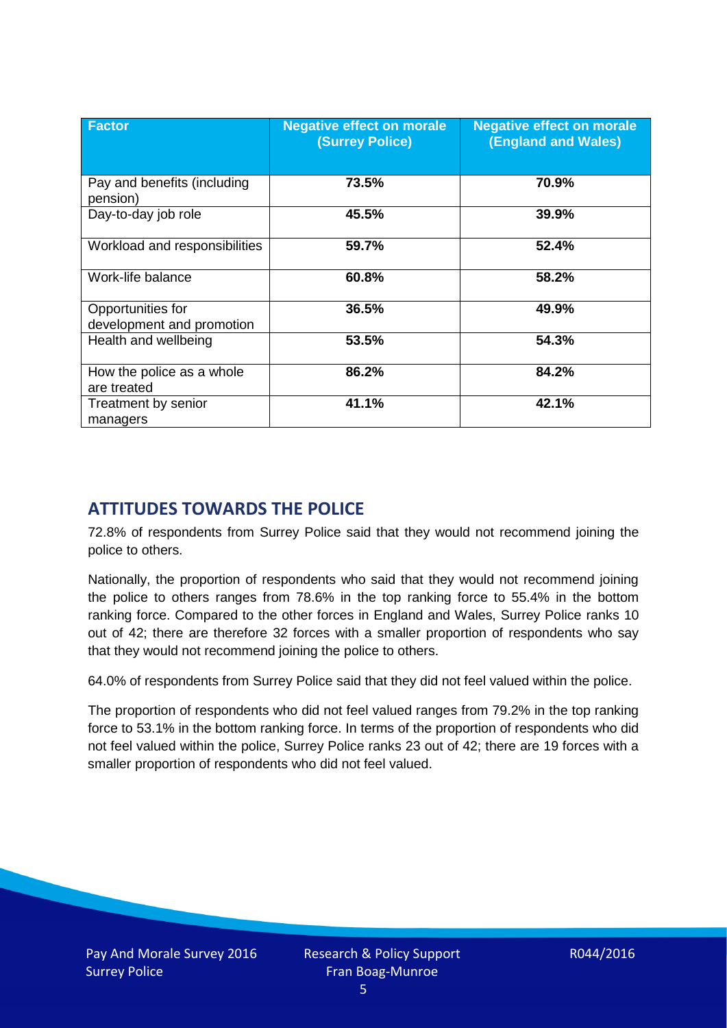| <b>Factor</b>                                  | <b>Negative effect on morale</b><br><b>(Surrey Police)</b> | <b>Negative effect on morale</b><br><b>(England and Wales)</b> |
|------------------------------------------------|------------------------------------------------------------|----------------------------------------------------------------|
| Pay and benefits (including<br>pension)        | 73.5%                                                      | 70.9%                                                          |
| Day-to-day job role                            | 45.5%                                                      | 39.9%                                                          |
| Workload and responsibilities                  | 59.7%                                                      | 52.4%                                                          |
| Work-life balance                              | 60.8%                                                      | 58.2%                                                          |
| Opportunities for<br>development and promotion | 36.5%                                                      | 49.9%                                                          |
| Health and wellbeing                           | 53.5%                                                      | 54.3%                                                          |
| How the police as a whole<br>are treated       | 86.2%                                                      | 84.2%                                                          |
| Treatment by senior<br>managers                | 41.1%                                                      | 42.1%                                                          |

## **ATTITUDES TOWARDS THE POLICE**

72.8% of respondents from Surrey Police said that they would not recommend joining the police to others.

Nationally, the proportion of respondents who said that they would not recommend joining the police to others ranges from 78.6% in the top ranking force to 55.4% in the bottom ranking force. Compared to the other forces in England and Wales, Surrey Police ranks 10 out of 42; there are therefore 32 forces with a smaller proportion of respondents who say that they would not recommend joining the police to others.

64.0% of respondents from Surrey Police said that they did not feel valued within the police.

The proportion of respondents who did not feel valued ranges from 79.2% in the top ranking force to 53.1% in the bottom ranking force. In terms of the proportion of respondents who did not feel valued within the police, Surrey Police ranks 23 out of 42; there are 19 forces with a smaller proportion of respondents who did not feel valued.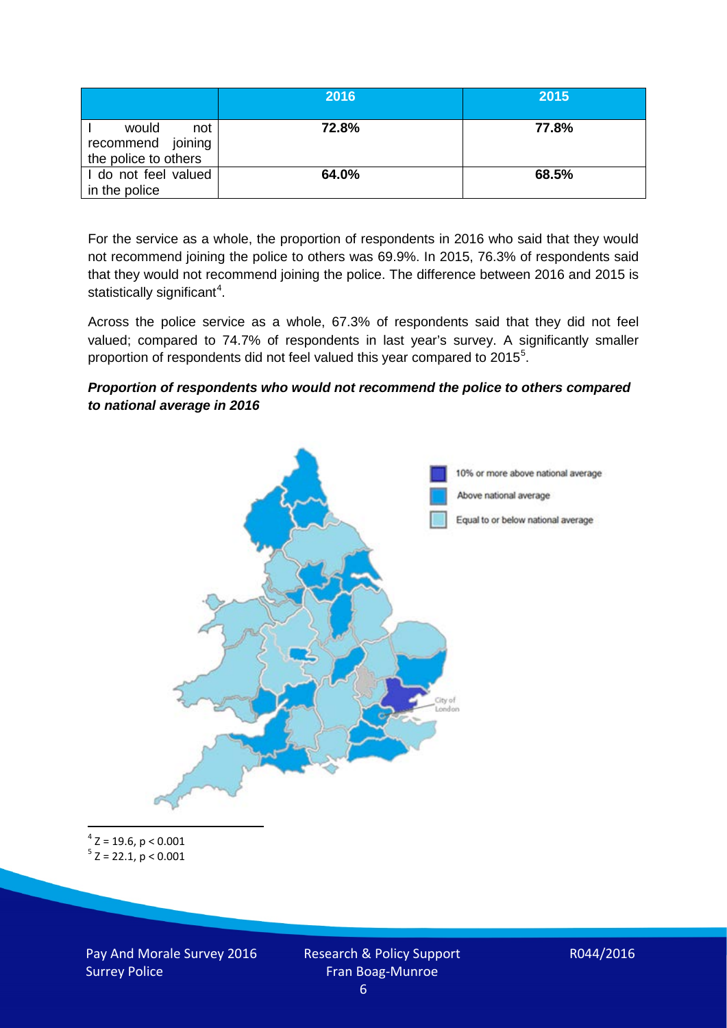|                                                           | 2016  | 2015  |
|-----------------------------------------------------------|-------|-------|
| would<br>not<br>recommend joining<br>the police to others | 72.8% | 77.8% |
| I do not feel valued<br>in the police                     | 64.0% | 68.5% |

For the service as a whole, the proportion of respondents in 2016 who said that they would not recommend joining the police to others was 69.9%. In 2015, 76.3% of respondents said that they would not recommend joining the police. The difference between 2016 and 2015 is statistically significant<sup>[4](#page-5-0)</sup>.

Across the police service as a whole, 67.3% of respondents said that they did not feel valued; compared to 74.7% of respondents in last year's survey. A significantly smaller proportion of respondents did not feel valued this year compared to 201[5](#page-5-1)<sup>5</sup>.

#### *Proportion of respondents who would not recommend the police to others compared to national average in 2016*



<span id="page-5-1"></span><span id="page-5-0"></span> $4$  Z = 19.6, p < 0.001  $5$  Z = 22.1, p < 0.001

Pay And Morale Survey 2016 Surrey Police

Research & Policy Support Fran Boag-Munroe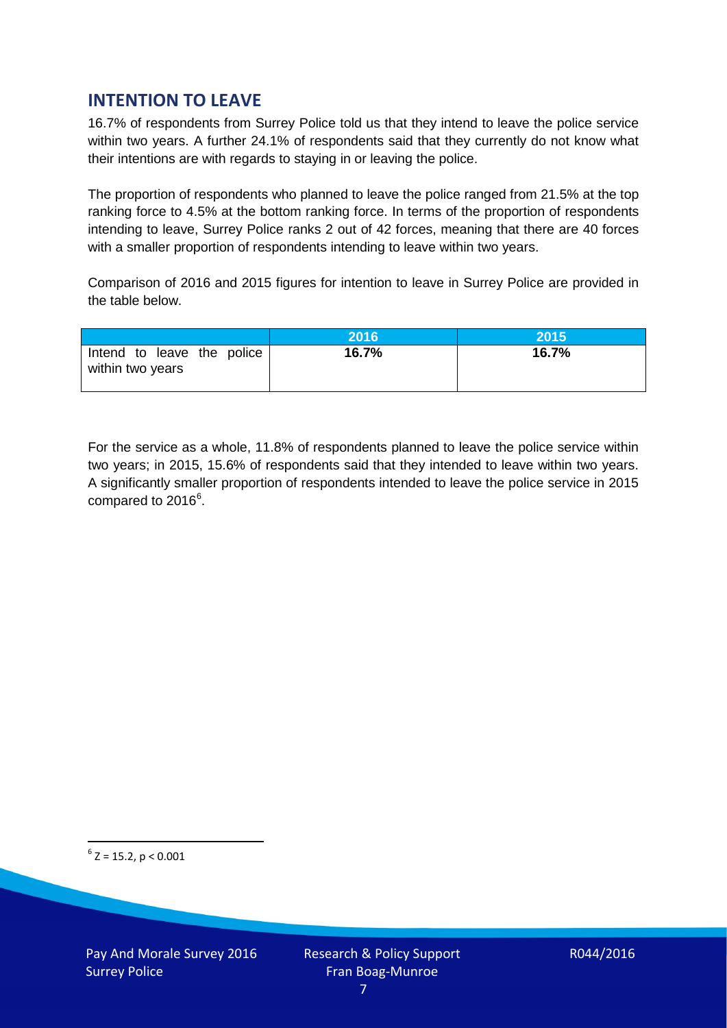## **INTENTION TO LEAVE**

16.7% of respondents from Surrey Police told us that they intend to leave the police service within two years. A further 24.1% of respondents said that they currently do not know what their intentions are with regards to staying in or leaving the police.

The proportion of respondents who planned to leave the police ranged from 21.5% at the top ranking force to 4.5% at the bottom ranking force. In terms of the proportion of respondents intending to leave, Surrey Police ranks 2 out of 42 forces, meaning that there are 40 forces with a smaller proportion of respondents intending to leave within two years.

Comparison of 2016 and 2015 figures for intention to leave in Surrey Police are provided in the table below.

|                                                | 2016  | 2015  |
|------------------------------------------------|-------|-------|
| Intend to leave the police<br>within two years | 16.7% | 16.7% |

For the service as a whole, 11.8% of respondents planned to leave the police service within two years; in 2015, 15.6% of respondents said that they intended to leave within two years. A significantly smaller proportion of respondents intended to leave the police service in 2015 compared to 201[6](#page-6-0)<sup>6</sup>.

<span id="page-6-0"></span> $6$  Z = 15.2, p < 0.001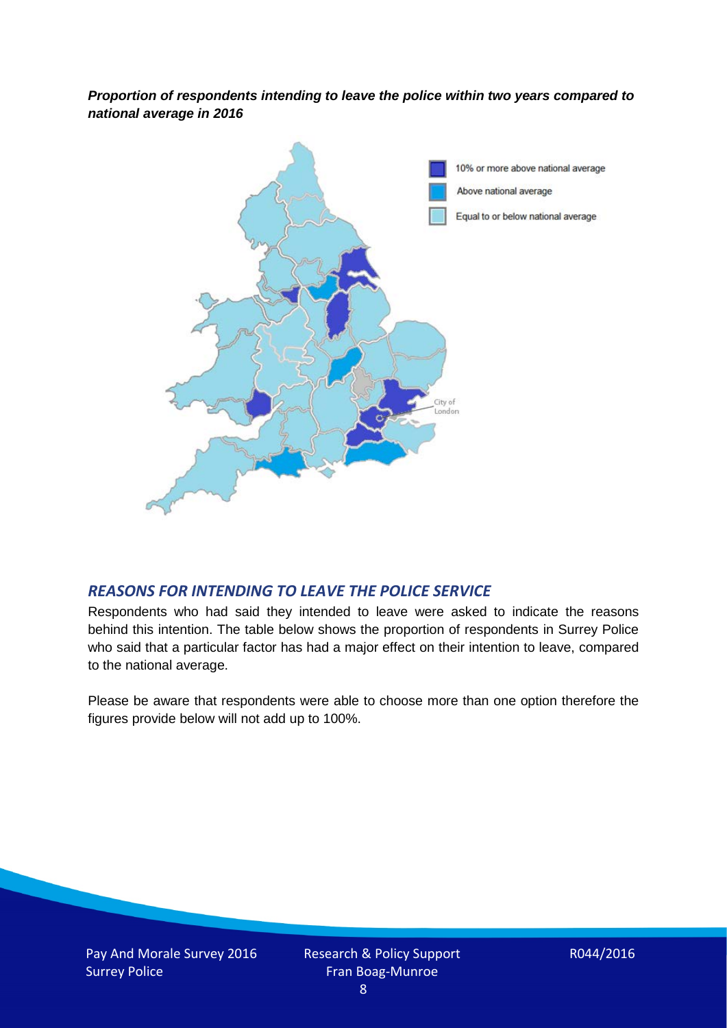*Proportion of respondents intending to leave the police within two years compared to national average in 2016*



## *REASONS FOR INTENDING TO LEAVE THE POLICE SERVICE*

Respondents who had said they intended to leave were asked to indicate the reasons behind this intention. The table below shows the proportion of respondents in Surrey Police who said that a particular factor has had a major effect on their intention to leave, compared to the national average.

Please be aware that respondents were able to choose more than one option therefore the figures provide below will not add up to 100%.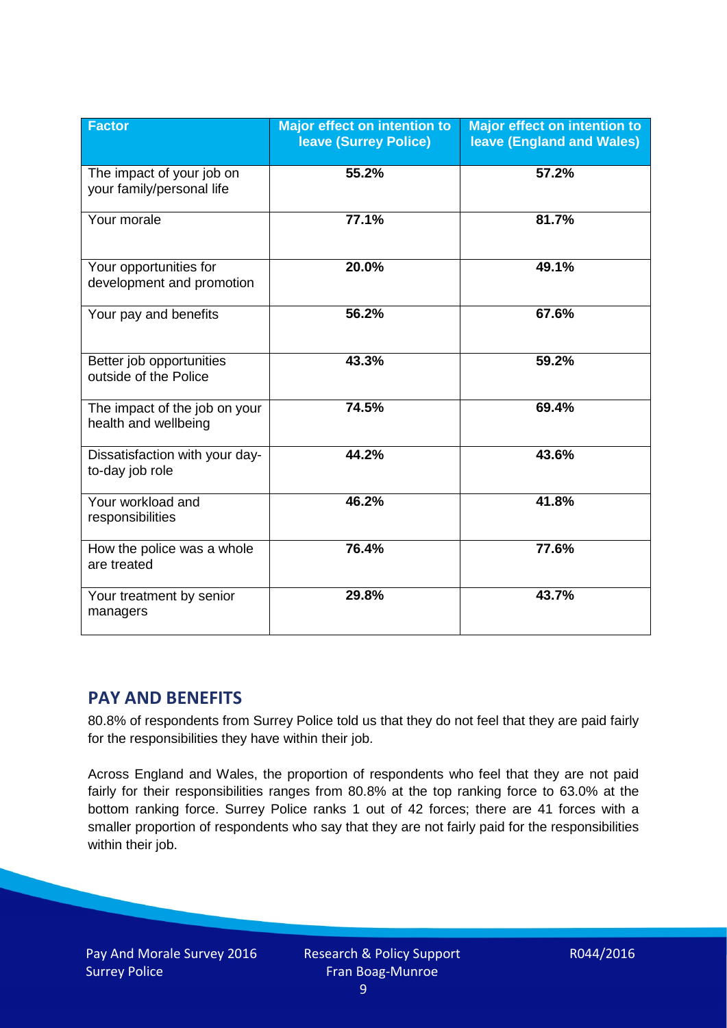| <b>Factor</b>                                          | <b>Major effect on intention to</b><br><b>leave (Surrey Police)</b> | <b>Major effect on intention to</b><br><b>leave (England and Wales)</b> |
|--------------------------------------------------------|---------------------------------------------------------------------|-------------------------------------------------------------------------|
| The impact of your job on<br>your family/personal life | 55.2%                                                               | 57.2%                                                                   |
| Your morale                                            | 77.1%                                                               | 81.7%                                                                   |
| Your opportunities for<br>development and promotion    | 20.0%                                                               | 49.1%                                                                   |
| Your pay and benefits                                  | 56.2%                                                               | 67.6%                                                                   |
| Better job opportunities<br>outside of the Police      | 43.3%                                                               | 59.2%                                                                   |
| The impact of the job on your<br>health and wellbeing  | 74.5%                                                               | 69.4%                                                                   |
| Dissatisfaction with your day-<br>to-day job role      | 44.2%                                                               | 43.6%                                                                   |
| Your workload and<br>responsibilities                  | 46.2%                                                               | 41.8%                                                                   |
| How the police was a whole<br>are treated              | 76.4%                                                               | 77.6%                                                                   |
| Your treatment by senior<br>managers                   | 29.8%                                                               | 43.7%                                                                   |

## **PAY AND BENEFITS**

80.8% of respondents from Surrey Police told us that they do not feel that they are paid fairly for the responsibilities they have within their job.

Across England and Wales, the proportion of respondents who feel that they are not paid fairly for their responsibilities ranges from 80.8% at the top ranking force to 63.0% at the bottom ranking force. Surrey Police ranks 1 out of 42 forces; there are 41 forces with a smaller proportion of respondents who say that they are not fairly paid for the responsibilities within their job.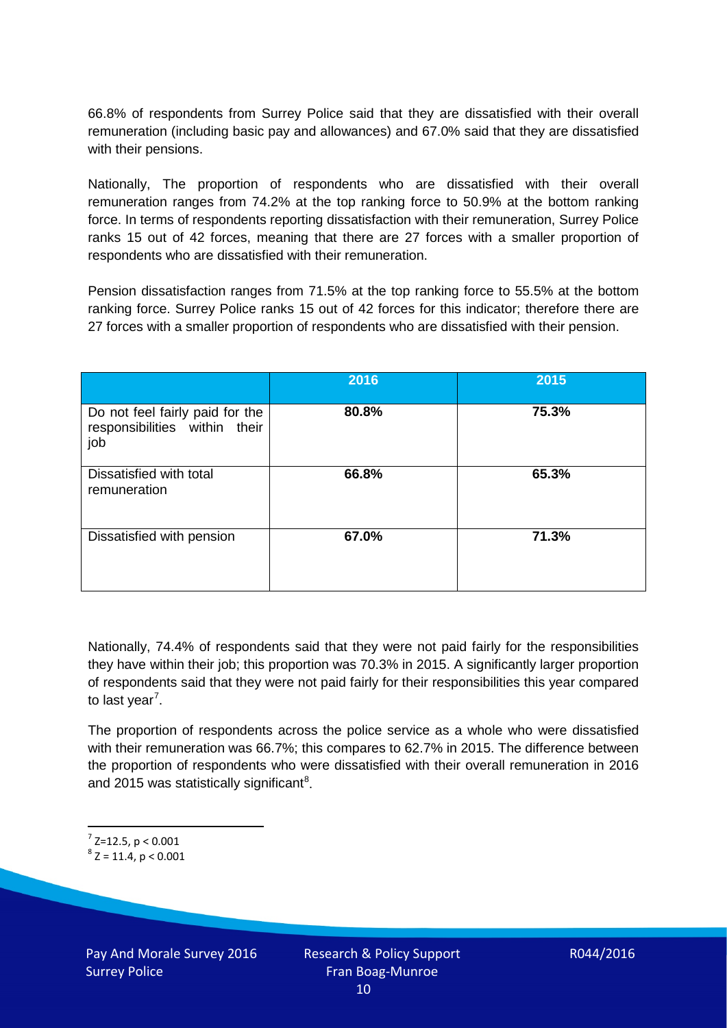66.8% of respondents from Surrey Police said that they are dissatisfied with their overall remuneration (including basic pay and allowances) and 67.0% said that they are dissatisfied with their pensions.

Nationally, The proportion of respondents who are dissatisfied with their overall remuneration ranges from 74.2% at the top ranking force to 50.9% at the bottom ranking force. In terms of respondents reporting dissatisfaction with their remuneration, Surrey Police ranks 15 out of 42 forces, meaning that there are 27 forces with a smaller proportion of respondents who are dissatisfied with their remuneration.

Pension dissatisfaction ranges from 71.5% at the top ranking force to 55.5% at the bottom ranking force. Surrey Police ranks 15 out of 42 forces for this indicator; therefore there are 27 forces with a smaller proportion of respondents who are dissatisfied with their pension.

|                                                                         | 2016  | 2015  |
|-------------------------------------------------------------------------|-------|-------|
| Do not feel fairly paid for the<br>responsibilities within their<br>job | 80.8% | 75.3% |
| Dissatisfied with total<br>remuneration                                 | 66.8% | 65.3% |
| Dissatisfied with pension                                               | 67.0% | 71.3% |

Nationally, 74.4% of respondents said that they were not paid fairly for the responsibilities they have within their job; this proportion was 70.3% in 2015. A significantly larger proportion of respondents said that they were not paid fairly for their responsibilities this year compared to last year<sup>[7](#page-9-0)</sup>.

The proportion of respondents across the police service as a whole who were dissatisfied with their remuneration was 66.7%; this compares to 62.7% in 2015. The difference between the proportion of respondents who were dissatisfied with their overall remuneration in 2016 and 2015 was statistically significant<sup>[8](#page-9-1)</sup>.

<span id="page-9-0"></span> $7$  Z=12.5, p < 0.001

<span id="page-9-1"></span> $8$  Z = 11.4, p < 0.001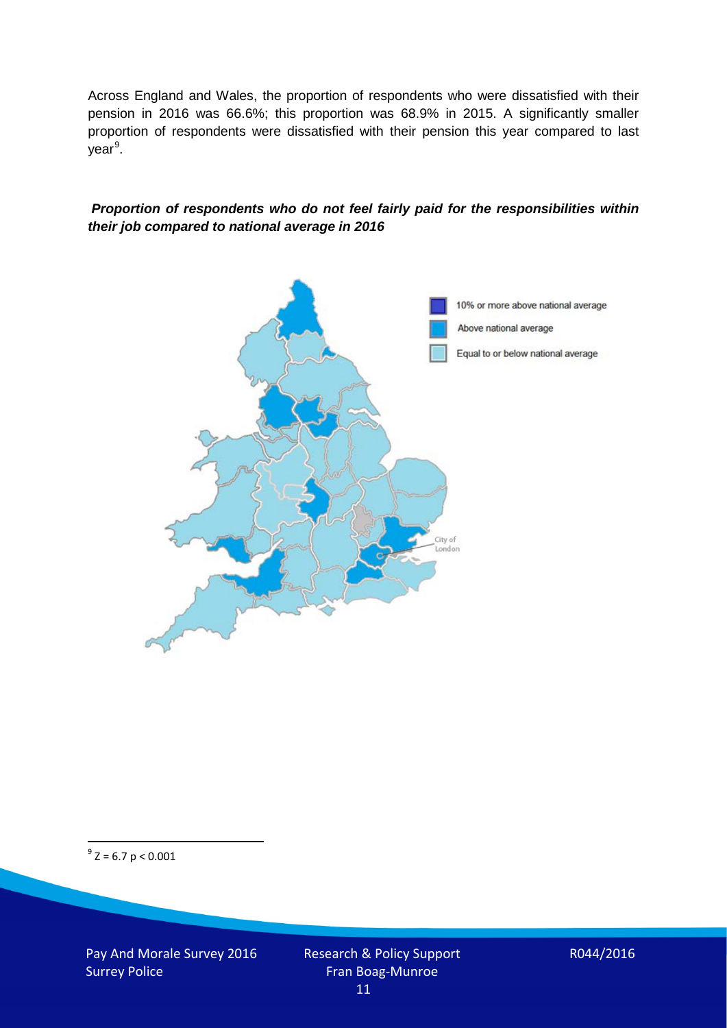Across England and Wales, the proportion of respondents who were dissatisfied with their pension in 2016 was 66.6%; this proportion was 68.9% in 2015. A significantly smaller proportion of respondents were dissatisfied with their pension this year compared to last year<sup>[9](#page-10-0)</sup>.

#### *Proportion of respondents who do not feel fairly paid for the responsibilities within their job compared to national average in 2016*



<span id="page-10-0"></span> $9^9$  Z = 6.7 p < 0.001